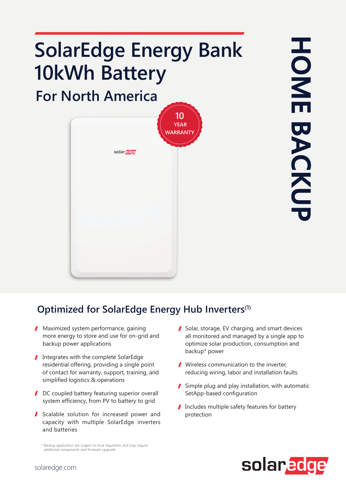# **SolarEdge Energy Bank 10kWh Battery**

**For North America**



**HOME BACKUP** HONE BACKUI

### **Optimized for SolarEdge Energy Hub Inverters(1)**

- **Maximized system performance, gaining** more energy to store and use for on-grid and backup power applications
- Integrates with the complete SolarEdge residential offering, providing a single point of contact for warranty, support, training, and simplified logistics & operations
- DC coupled battery featuring superior overall system efficiency, from PV to battery to grid
- Scalable solution for increased power and capacity with multiple SolarEdge inverters and batteries

\* Backup application are subject to local regulation and may require additional components and firmware upgrade

- Solar, storage, EV charging, and smart devices all monitored and managed by a single app to optimize solar production, consumption and backup\* power
- Wireless communication to the inverter, reducing wiring, labor and installation faults
- Simple plug and play installation, with automatic SetApp-based configuration
- Includes multiple safety features for battery protection